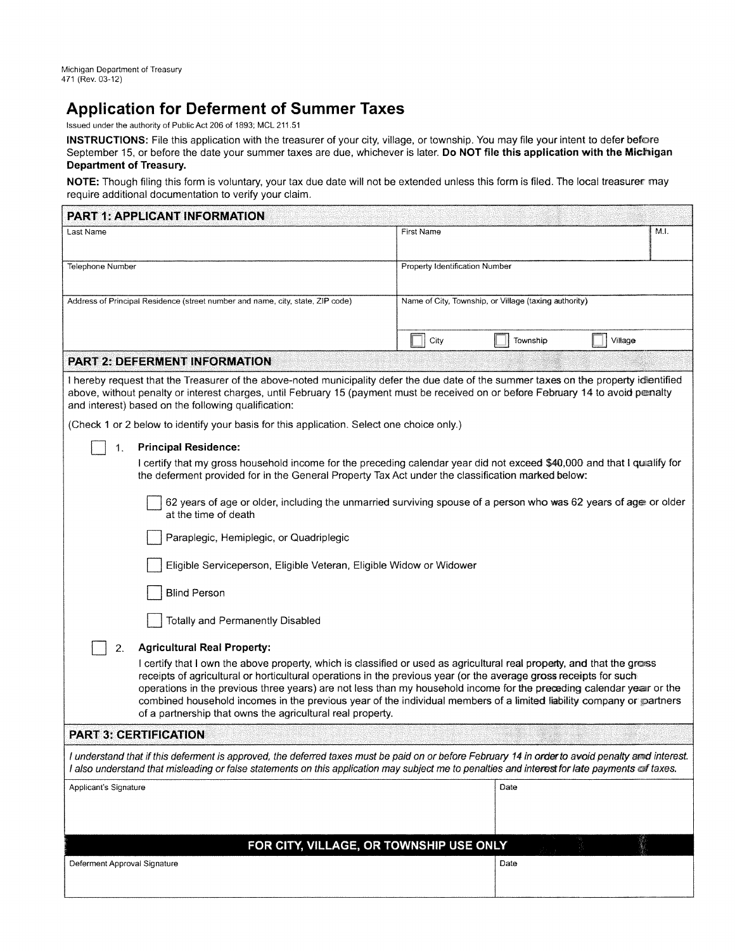# **Application for Deferment of Summer Taxes**

Issued under the authority of Public Act 206 of 1893; MCL 211.51

**INSTRUCTIONS:** File this application with the treasurer of your city, village, or township. You may file your intent to defer before September 15, or before the date your summer taxes are due, whichever is later. **Do NOT file this application with the Michigan Department of Treasury.** 

NOTE: Though filing this form is voluntary, your tax due date will not be extended unless this form is filed. The local treasurer may require additional documentation to verify your claim.

| <b>PART 1: APPLICANT INFORMATION</b>                                                                                                                                                                                                                                                                                                                                                                                                                                                                                                                      |                                                       |          |         |  |  |
|-----------------------------------------------------------------------------------------------------------------------------------------------------------------------------------------------------------------------------------------------------------------------------------------------------------------------------------------------------------------------------------------------------------------------------------------------------------------------------------------------------------------------------------------------------------|-------------------------------------------------------|----------|---------|--|--|
| Last Name                                                                                                                                                                                                                                                                                                                                                                                                                                                                                                                                                 | M.I.<br><b>First Name</b>                             |          |         |  |  |
| <b>Telephone Number</b>                                                                                                                                                                                                                                                                                                                                                                                                                                                                                                                                   | Property Identification Number                        |          |         |  |  |
|                                                                                                                                                                                                                                                                                                                                                                                                                                                                                                                                                           |                                                       |          |         |  |  |
| Address of Principal Residence (street number and name, city, state, ZIP code)                                                                                                                                                                                                                                                                                                                                                                                                                                                                            | Name of City, Township, or Village (taxing authority) |          |         |  |  |
|                                                                                                                                                                                                                                                                                                                                                                                                                                                                                                                                                           | City                                                  | Township | Village |  |  |
| <b>PART 2: DEFERMENT INFORMATION</b>                                                                                                                                                                                                                                                                                                                                                                                                                                                                                                                      |                                                       |          |         |  |  |
| I hereby request that the Treasurer of the above-noted municipality defer the due date of the summer taxes on the property idientified<br>above, without penalty or interest charges, until February 15 (payment must be received on or before February 14 to avoid penalty<br>and interest) based on the following qualification:                                                                                                                                                                                                                        |                                                       |          |         |  |  |
| (Check 1 or 2 below to identify your basis for this application. Select one choice only.)                                                                                                                                                                                                                                                                                                                                                                                                                                                                 |                                                       |          |         |  |  |
| <b>Principal Residence:</b><br>1.                                                                                                                                                                                                                                                                                                                                                                                                                                                                                                                         |                                                       |          |         |  |  |
| I certify that my gross household income for the preceding calendar year did not exceed \$40,000 and that I qualify for<br>the deferment provided for in the General Property Tax Act under the classification marked below:                                                                                                                                                                                                                                                                                                                              |                                                       |          |         |  |  |
| 62 years of age or older, including the unmarried surviving spouse of a person who was 62 years of age or older<br>at the time of death                                                                                                                                                                                                                                                                                                                                                                                                                   |                                                       |          |         |  |  |
| Paraplegic, Hemiplegic, or Quadriplegic                                                                                                                                                                                                                                                                                                                                                                                                                                                                                                                   |                                                       |          |         |  |  |
| Eligible Serviceperson, Eligible Veteran, Eligible Widow or Widower                                                                                                                                                                                                                                                                                                                                                                                                                                                                                       |                                                       |          |         |  |  |
| <b>Blind Person</b>                                                                                                                                                                                                                                                                                                                                                                                                                                                                                                                                       |                                                       |          |         |  |  |
| Totally and Permanently Disabled                                                                                                                                                                                                                                                                                                                                                                                                                                                                                                                          |                                                       |          |         |  |  |
| <b>Agricultural Real Property:</b><br>2.                                                                                                                                                                                                                                                                                                                                                                                                                                                                                                                  |                                                       |          |         |  |  |
| I certify that I own the above property, which is classified or used as agricultural real property, and that the gross<br>receipts of agricultural or horticultural operations in the previous year (or the average gross receipts for such<br>operations in the previous three years) are not less than my household income for the preceding calendar year or the<br>combined household incomes in the previous year of the individual members of a limited liability company or partners<br>of a partnership that owns the agricultural real property. |                                                       |          |         |  |  |
| <b>PART 3: CERTIFICATION</b>                                                                                                                                                                                                                                                                                                                                                                                                                                                                                                                              |                                                       |          |         |  |  |
| I understand that if this deferment is approved, the deferred taxes must be paid on or before February 14 in order to avoid penalty and interest.<br>I also understand that misleading or false statements on this application may subject me to penalties and interest for late payments of taxes.                                                                                                                                                                                                                                                       |                                                       |          |         |  |  |
| Applicant's Signature                                                                                                                                                                                                                                                                                                                                                                                                                                                                                                                                     |                                                       | Date     |         |  |  |
|                                                                                                                                                                                                                                                                                                                                                                                                                                                                                                                                                           |                                                       |          |         |  |  |
| FOR CITY, VILLAGE, OR TOWNSHIP USE ONLY                                                                                                                                                                                                                                                                                                                                                                                                                                                                                                                   |                                                       |          |         |  |  |
| Deferment Approval Signature                                                                                                                                                                                                                                                                                                                                                                                                                                                                                                                              |                                                       | Date     |         |  |  |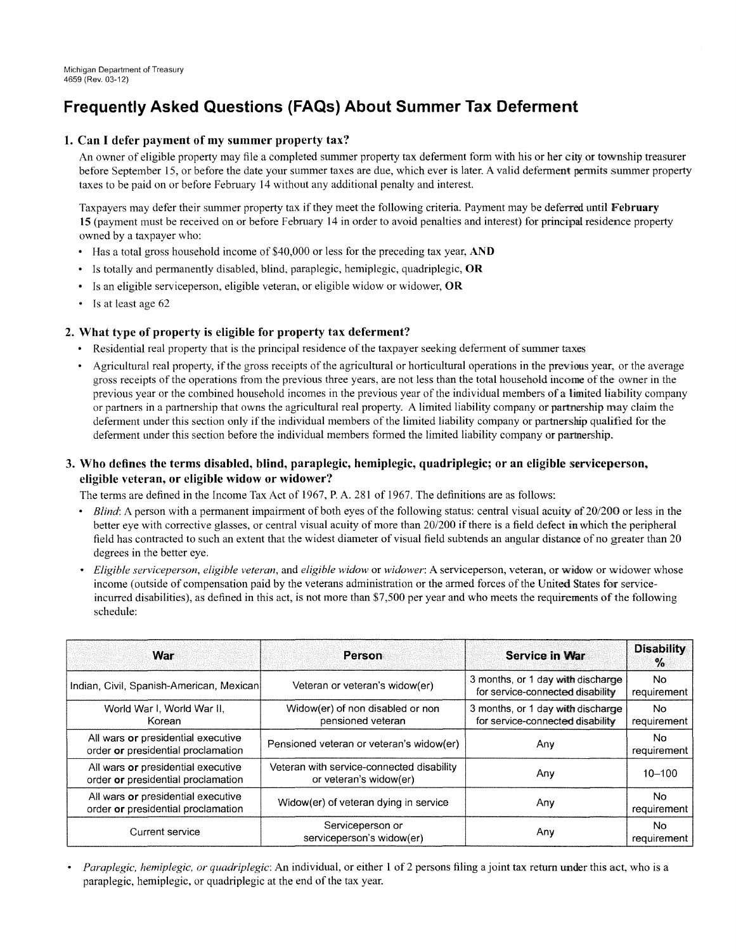# **Frequently Asked Questions (FAQs) About Summer Tax Deferment**

### **1. Can I defer payment of my summer property tax?**

An owner of eligible property may file a completed summer property tax deferment form with his or her city or township treasurer before September 15, or before the date your summer taxes are due, which ever is later. A valid deferment permits summer property taxes to be paid on or before Febmary 14 without any additional penalty and interest

Taxpayers may defer their summer property tax if they meet the following criteria. Payment may be deferred until **February 15** (payment must be received on or before Febmary 14 in order to avoid penalties and interest) for principal residence property owned by a taxpayer who:

- Has a total gross household income of \$40,000 or less for the preceding tax year, **AND**
- Is totally and permanently disabled, blind, paraplegic, hemiplegic, quadriplegic, **OR**
- Is an eligible serviceperson, eligible veteran, or eligible widow or widower, **OR**
- Is at least age 62

### **2. What type of property is eligible for property tax deferment?**

- Residential real property that is the principal residence of the taxpayer seeking deferment of summer taxes
- Agricultural real property, if the gross receipts of the agricultural or horticultural operations in the previous year, or the average gross receipts of the operations from the previous three years, are not less than the total household income of the owner in the previous year or the combined household incomes in the previous year of the individual members of a limited liability company or partners in a partnership that owns the agricultural real property. A limited liability company or partnership may claim the deferment under this section only if the individual members of the limited liability company or partnership qualified for the deferment under this section before the individual members formed the limited liability company or partnership.

## **3. Who defines the terms disabled, blind, paraplegic, hemiplegic, quadriplegic; or an eligible serviceperson, eligible veteran, or eligible widow or widower?**

The terms are defined in the Income Tax Act of 1967, P. A. 281 of 1967. The definitions are as follows:

- *Blind*: A person with a permanent impairment of both eyes of the following status: central visual acuity of 20/200 or less in the better eye with corrective glasses, or central visual acuity of more than 20/200 if there is a field defect in which the peripheral field has contracted to such an extent that the widest diameter of visual field subtends an angular distance of no greater than 20 degrees in the better eye.
- *Eligible serviceperson, eligible veteran,* and *eligible widow* or *widower:* A serviceperson, veteran, or widow or widower whose income (outside of compensation paid by the veterans administration or the armed forces of the United States for serviceincurred disabilities), as defined in this act, is not more than \$7,500 per year and who meets the requirements of the following schedule:

| War                                                                      | Person                                                              | <b>Service in War</b>                                                 | <b>Disability</b><br>$\%$ |
|--------------------------------------------------------------------------|---------------------------------------------------------------------|-----------------------------------------------------------------------|---------------------------|
| Indian, Civil, Spanish-American, Mexican                                 | Veteran or veteran's widow(er)                                      | 3 months, or 1 day with discharge<br>for service-connected disability | No.<br>requirement        |
| World War I. World War II.<br>Korean                                     | Widow(er) of non disabled or non<br>pensioned veteran               | 3 months, or 1 day with discharge<br>for service-connected disability | No.<br>requirement        |
| All wars or presidential executive<br>order or presidential proclamation | Pensioned veteran or veteran's widow(er)                            | Any                                                                   | No.<br>requirement        |
| All wars or presidential executive<br>order or presidential proclamation | Veteran with service-connected disability<br>or veteran's widow(er) | Any                                                                   | $10 - 100$                |
| All wars or presidential executive<br>order or presidential proclamation | Widow(er) of veteran dying in service                               | Any                                                                   | No.<br>requirement        |
| Current service                                                          | Serviceperson or<br>serviceperson's widow(er)                       | Any                                                                   | No.<br>requirement        |

• *Paraplegic, hemiplegic, or quadriplegic:* An individual, or either l of 2 persons filing a joint tax return under this act, who is a paraplegic, hemiplegic, or quadriplegic at the end of the tax year.